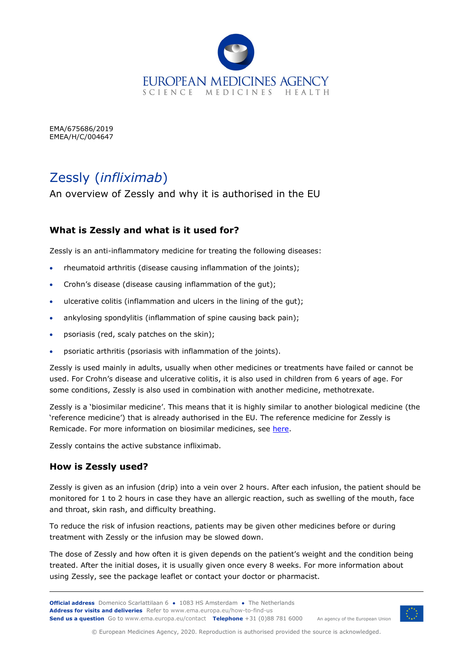

EMA/675686/2019 EMEA/H/C/004647

# Zessly (*infliximab*)

An overview of Zessly and why it is authorised in the EU

## **What is Zessly and what is it used for?**

Zessly is an anti-inflammatory medicine for treating the following diseases:

- rheumatoid arthritis (disease causing inflammation of the joints);
- Crohn's disease (disease causing inflammation of the gut);
- ulcerative colitis (inflammation and ulcers in the lining of the gut);
- ankylosing spondylitis (inflammation of spine causing back pain);
- psoriasis (red, scaly patches on the skin);
- psoriatic arthritis (psoriasis with inflammation of the joints).

Zessly is used mainly in adults, usually when other medicines or treatments have failed or cannot be used. For Crohn's disease and ulcerative colitis, it is also used in children from 6 years of age. For some conditions, Zessly is also used in combination with another medicine, methotrexate.

Zessly is a 'biosimilar medicine'. This means that it is highly similar to another biological medicine (the 'reference medicine') that is already authorised in the EU. The reference medicine for Zessly is Remicade. For more information on biosimilar medicines, see [here.](https://www.ema.europa.eu/en/human-regulatory/overview/biosimilar-medicines-overview)

Zessly contains the active substance infliximab.

## **How is Zessly used?**

Zessly is given as an infusion (drip) into a vein over 2 hours. After each infusion, the patient should be monitored for 1 to 2 hours in case they have an allergic reaction, such as swelling of the mouth, face and throat, skin rash, and difficulty breathing.

To reduce the risk of infusion reactions, patients may be given other medicines before or during treatment with Zessly or the infusion may be slowed down.

The dose of Zessly and how often it is given depends on the patient's weight and the condition being treated. After the initial doses, it is usually given once every 8 weeks. For more information about using Zessly, see the package leaflet or contact your doctor or pharmacist.



© European Medicines Agency, 2020. Reproduction is authorised provided the source is acknowledged.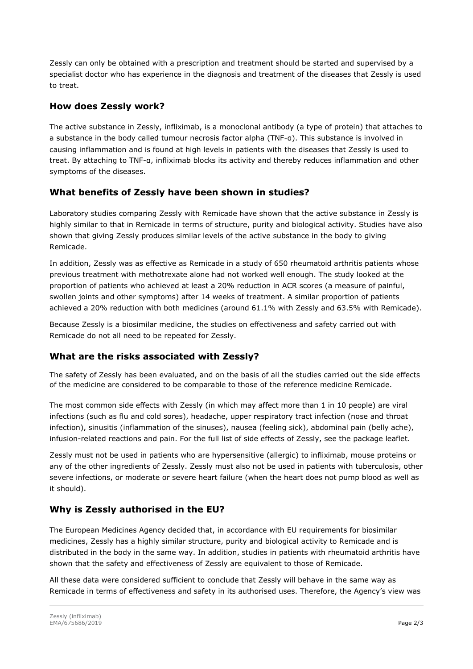Zessly can only be obtained with a prescription and treatment should be started and supervised by a specialist doctor who has experience in the diagnosis and treatment of the diseases that Zessly is used to treat.

### **How does Zessly work?**

The active substance in Zessly, infliximab, is a monoclonal antibody (a type of protein) that attaches to a substance in the body called tumour necrosis factor alpha (TNF-α). This substance is involved in causing inflammation and is found at high levels in patients with the diseases that Zessly is used to treat. By attaching to TNF-α, infliximab blocks its activity and thereby reduces inflammation and other symptoms of the diseases.

### **What benefits of Zessly have been shown in studies?**

Laboratory studies comparing Zessly with Remicade have shown that the active substance in Zessly is highly similar to that in Remicade in terms of structure, purity and biological activity. Studies have also shown that giving Zessly produces similar levels of the active substance in the body to giving Remicade.

In addition, Zessly was as effective as Remicade in a study of 650 rheumatoid arthritis patients whose previous treatment with methotrexate alone had not worked well enough. The study looked at the proportion of patients who achieved at least a 20% reduction in ACR scores (a measure of painful, swollen joints and other symptoms) after 14 weeks of treatment. A similar proportion of patients achieved a 20% reduction with both medicines (around 61.1% with Zessly and 63.5% with Remicade).

Because Zessly is a biosimilar medicine, the studies on effectiveness and safety carried out with Remicade do not all need to be repeated for Zessly.

## **What are the risks associated with Zessly?**

The safety of Zessly has been evaluated, and on the basis of all the studies carried out the side effects of the medicine are considered to be comparable to those of the reference medicine Remicade.

The most common side effects with Zessly (in which may affect more than 1 in 10 people) are viral infections (such as flu and cold sores), headache, upper respiratory tract infection (nose and throat infection), sinusitis (inflammation of the sinuses), nausea (feeling sick), abdominal pain (belly ache), infusion-related reactions and pain. For the full list of side effects of Zessly, see the package leaflet.

Zessly must not be used in patients who are hypersensitive (allergic) to infliximab, mouse proteins or any of the other ingredients of Zessly. Zessly must also not be used in patients with tuberculosis, other severe infections, or moderate or severe heart failure (when the heart does not pump blood as well as it should).

## **Why is Zessly authorised in the EU?**

The European Medicines Agency decided that, in accordance with EU requirements for biosimilar medicines, Zessly has a highly similar structure, purity and biological activity to Remicade and is distributed in the body in the same way. In addition, studies in patients with rheumatoid arthritis have shown that the safety and effectiveness of Zessly are equivalent to those of Remicade.

All these data were considered sufficient to conclude that Zessly will behave in the same way as Remicade in terms of effectiveness and safety in its authorised uses. Therefore, the Agency's view was